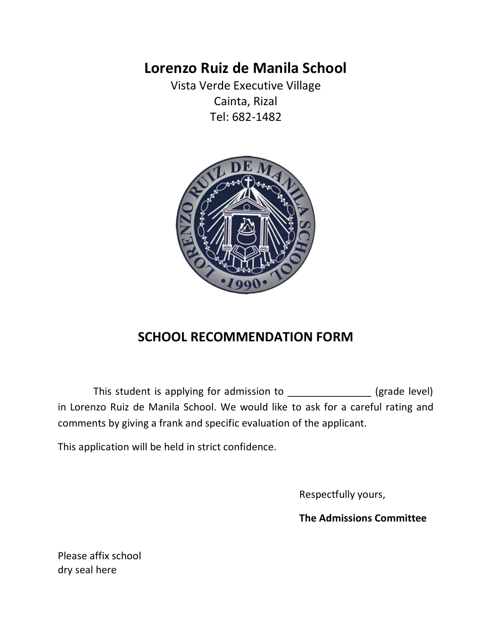# **Lorenzo Ruiz de Manila School**

Vista Verde Executive Village Cainta, Rizal Tel: 682-1482



# **SCHOOL RECOMMENDATION FORM**

This student is applying for admission to \_\_\_\_\_\_\_\_\_\_\_\_\_\_\_ (grade level) in Lorenzo Ruiz de Manila School. We would like to ask for a careful rating and comments by giving a frank and specific evaluation of the applicant.

This application will be held in strict confidence.

Respectfully yours,

**The Admissions Committee**

Please affix school dry seal here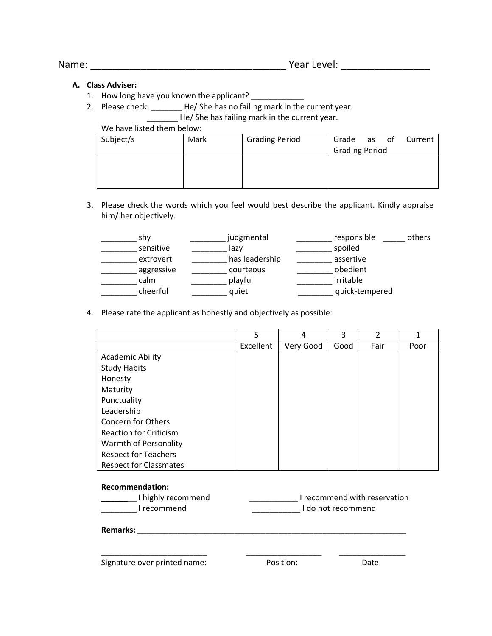### **A. Class Adviser:**

- 1. How long have you known the applicant? \_\_\_\_\_\_\_\_\_\_\_
- 2. Please check: \_\_\_\_\_\_\_\_ He/ She has no failing mark in the current year. He/ She has failing mark in the current year.

We have listed them below:

| Subject/s | Mark | <b>Grading Period</b> | Grade                 |  | as of Current |
|-----------|------|-----------------------|-----------------------|--|---------------|
|           |      |                       | <b>Grading Period</b> |  |               |
|           |      |                       |                       |  |               |
|           |      |                       |                       |  |               |
|           |      |                       |                       |  |               |

3. Please check the words which you feel would best describe the applicant. Kindly appraise him/ her objectively.

| shy        | judgmental     | responsible    | others |
|------------|----------------|----------------|--------|
| sensitive  | lazy           | spoiled        |        |
| extrovert  | has leadership | assertive      |        |
| aggressive | courteous      | obedient       |        |
| calm       | playful        | irritable      |        |
| cheerful   | quiet          | quick-tempered |        |

4. Please rate the applicant as honestly and objectively as possible:

|                               | 5         | 4         | 3    | C    |      |
|-------------------------------|-----------|-----------|------|------|------|
|                               | Excellent | Very Good | Good | Fair | Poor |
| <b>Academic Ability</b>       |           |           |      |      |      |
| <b>Study Habits</b>           |           |           |      |      |      |
| Honesty                       |           |           |      |      |      |
| Maturity                      |           |           |      |      |      |
| Punctuality                   |           |           |      |      |      |
| Leadership                    |           |           |      |      |      |
| <b>Concern for Others</b>     |           |           |      |      |      |
| <b>Reaction for Criticism</b> |           |           |      |      |      |
| Warmth of Personality         |           |           |      |      |      |
| <b>Respect for Teachers</b>   |           |           |      |      |      |
| <b>Respect for Classmates</b> |           |           |      |      |      |

#### **Recommendation:**

| I highly recommend | I recommend with reservation |
|--------------------|------------------------------|
| l recommend        | I do not recommend           |

\_\_\_\_\_\_\_\_\_\_\_\_\_\_\_\_\_\_\_\_\_\_\_\_ \_\_\_\_\_\_\_\_\_\_\_\_\_\_\_\_\_ \_\_\_\_\_\_\_\_\_\_\_\_\_\_\_

**Remarks:** \_\_\_\_\_\_\_\_\_\_\_\_\_\_\_\_\_\_\_\_\_\_\_\_\_\_\_\_\_\_\_\_\_\_\_\_\_\_\_\_\_\_\_\_\_\_\_\_\_\_\_\_\_\_\_\_\_\_\_\_\_

Signature over printed name: Position: Date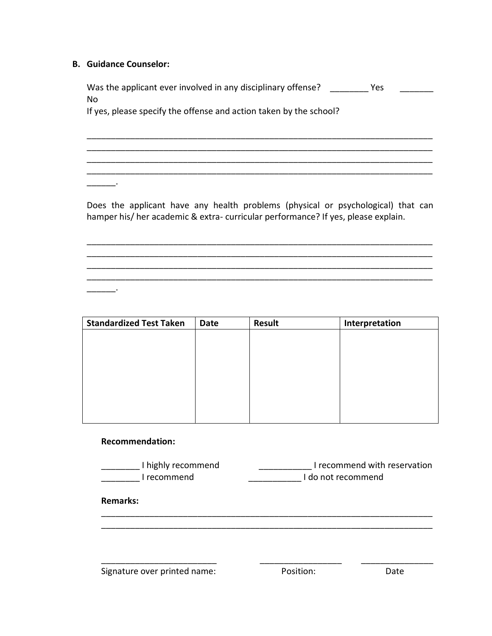## **B. Guidance Counselor:**

Was the applicant ever involved in any disciplinary offense? \_\_\_\_\_\_\_\_\_ Yes \_\_\_\_\_\_ No

\_\_\_\_\_\_\_\_\_\_\_\_\_\_\_\_\_\_\_\_\_\_\_\_\_\_\_\_\_\_\_\_\_\_\_\_\_\_\_\_\_\_\_\_\_\_\_\_\_\_\_\_\_\_\_\_\_\_\_\_\_\_\_\_\_\_\_\_\_\_\_\_ \_\_\_\_\_\_\_\_\_\_\_\_\_\_\_\_\_\_\_\_\_\_\_\_\_\_\_\_\_\_\_\_\_\_\_\_\_\_\_\_\_\_\_\_\_\_\_\_\_\_\_\_\_\_\_\_\_\_\_\_\_\_\_\_\_\_\_\_\_\_\_\_ \_\_\_\_\_\_\_\_\_\_\_\_\_\_\_\_\_\_\_\_\_\_\_\_\_\_\_\_\_\_\_\_\_\_\_\_\_\_\_\_\_\_\_\_\_\_\_\_\_\_\_\_\_\_\_\_\_\_\_\_\_\_\_\_\_\_\_\_\_\_\_\_

If yes, please specify the offense and action taken by the school?

Does the applicant have any health problems (physical or psychological) that can hamper his/ her academic & extra- curricular performance? If yes, please explain.

\_\_\_\_\_\_\_\_\_\_\_\_\_\_\_\_\_\_\_\_\_\_\_\_\_\_\_\_\_\_\_\_\_\_\_\_\_\_\_\_\_\_\_\_\_\_\_\_\_\_\_\_\_\_\_\_\_\_\_\_\_\_\_\_\_\_\_\_\_\_\_\_ \_\_\_\_\_\_\_\_\_\_\_\_\_\_\_\_\_\_\_\_\_\_\_\_\_\_\_\_\_\_\_\_\_\_\_\_\_\_\_\_\_\_\_\_\_\_\_\_\_\_\_\_\_\_\_\_\_\_\_\_\_\_\_\_\_\_\_\_\_\_\_\_ \_\_\_\_\_\_\_\_\_\_\_\_\_\_\_\_\_\_\_\_\_\_\_\_\_\_\_\_\_\_\_\_\_\_\_\_\_\_\_\_\_\_\_\_\_\_\_\_\_\_\_\_\_\_\_\_\_\_\_\_\_\_\_\_\_\_\_\_\_\_\_\_ \_\_\_\_\_\_\_\_\_\_\_\_\_\_\_\_\_\_\_\_\_\_\_\_\_\_\_\_\_\_\_\_\_\_\_\_\_\_\_\_\_\_\_\_\_\_\_\_\_\_\_\_\_\_\_\_\_\_\_\_\_\_\_\_\_\_\_\_\_\_\_\_

\_\_\_\_\_\_\_\_\_\_\_\_\_\_\_\_\_\_\_\_\_\_\_\_\_\_\_\_\_\_\_\_\_\_\_\_\_\_\_\_\_\_\_\_\_\_\_\_\_\_\_\_\_\_\_\_\_\_\_\_\_\_\_\_\_\_\_\_\_\_\_\_

\_\_\_\_\_\_.

 $\overline{\phantom{a}}$ 

| <b>Standardized Test Taken</b> | <b>Date</b> | <b>Result</b> | Interpretation |
|--------------------------------|-------------|---------------|----------------|
|                                |             |               |                |
|                                |             |               |                |
|                                |             |               |                |
|                                |             |               |                |
|                                |             |               |                |
|                                |             |               |                |
|                                |             |               |                |
|                                |             |               |                |

### **Recommendation:**

| I highly recommend | I recommend with reservation |
|--------------------|------------------------------|
| l recommend        | I do not recommend           |

\_\_\_\_\_\_\_\_\_\_\_\_\_\_\_\_\_\_\_\_\_\_\_\_\_\_\_\_\_\_\_\_\_\_\_\_\_\_\_\_\_\_\_\_\_\_\_\_\_\_\_\_\_\_\_\_\_\_\_\_\_\_\_\_\_\_\_\_\_ \_\_\_\_\_\_\_\_\_\_\_\_\_\_\_\_\_\_\_\_\_\_\_\_\_\_\_\_\_\_\_\_\_\_\_\_\_\_\_\_\_\_\_\_\_\_\_\_\_\_\_\_\_\_\_\_\_\_\_\_\_\_\_\_\_\_\_\_\_

\_\_\_\_\_\_\_\_\_\_\_\_\_\_\_\_\_\_\_\_\_\_\_\_ \_\_\_\_\_\_\_\_\_\_\_\_\_\_\_\_\_ \_\_\_\_\_\_\_\_\_\_\_\_\_\_\_

**Remarks:** 

Signature over printed name: The Position: Position: Date